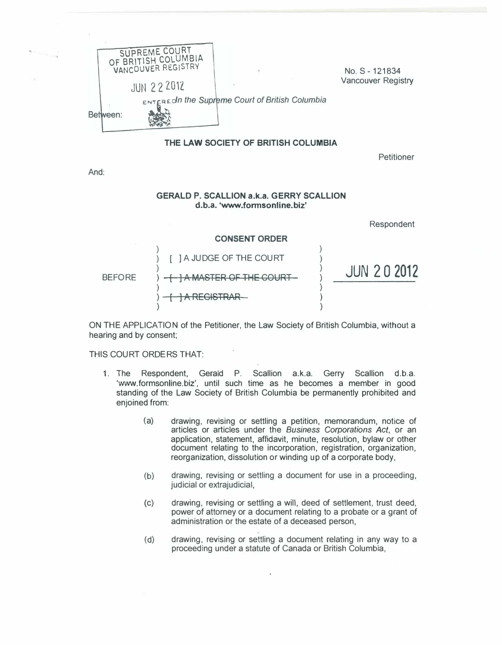

#### THE LAW SOCIETY OF BRITISH COLUMBIA

Petitioner

And:

#### GERALD P. SCALLION a.k.a. GERRY SCALLION d.b.a. 'www.fonnsonline.biz'

Respondent



ON THE APPLICATION of the Petitioner, the Law Society of British Columbia, without a hearing and by consent;

#### THIS COURT ORDERS THAT:

- 1. The Respondent, Gerald P. Scallion a.k.a. Gerry Scallion d.b.a. 'www.formsonline.biz', until such time as he becomes a member in good standing of the Law Society of British Columbia be permanently prohibited and enjoined from:
	- (a) drawing, revising or settling a petition, memorandum, notice of articles or articles under the Business Corporations Act, or an application, statement, affidavit, minute, resolution, bylaw or other document relating to the incorporation, registration, organization, reorganization, dissolution or winding up of a corporate body,
	- (b) drawing, revising or settling a document for use in a proceeding, judicial or extrajudicial,
	- (c) drawing, revising or settling a will, deed of settlement, trust deed, power of attorney or a document relating to a probate or a grant of administration or the estate of a deceased person,
	- (d) drawing, revising or settling a document relating in any way to a proceeding under a statute of Canada or British Columbia,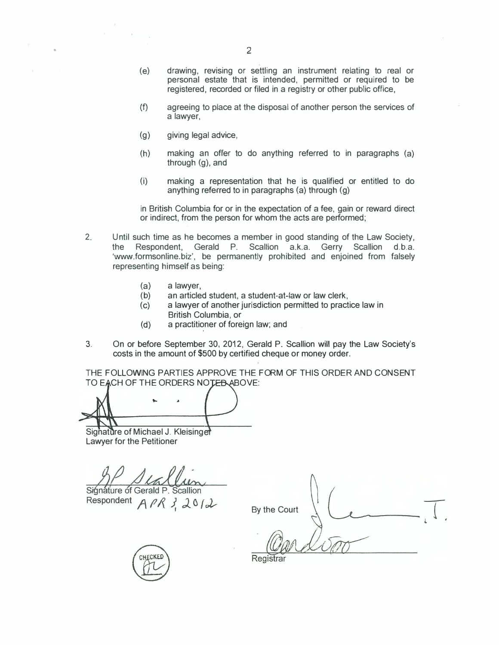- (e) drawing, revising or settling an instrument relating to real or personal estate that is intended, permitted or required to be registered, recorded or filed in a registry or other public office,
- (f) agreeing to place at the disposal of another person the services of a lawyer,
- (g) giving legal advice,
- (h) making an offer to do anything referred to in paragraphs (a) through (g), and
- (i) making a representation that he is qualified or entitled to do anything referred to in paragraphs (a) through (g)

in British Columbia for or in the expectation of a fee, gain or reward direct or indirect, from the person for whom the acts are performed;

- 2. Until such time as he becomes a member in good standing of the Law Society, the Respondent, Gerald P. Scallion a.k.a. Gerry Scallion d.b.a. 'www.formsonline.biz', be permanently prohibited and enjoined from falsely representing himself as being:
	- (a) a lawyer,<br>(b) an articled
	- an articled student, a student-at-law or law clerk,
	- (c) a lawyer of another jurisdiction permitted to practice law in British Columbia, or
	- (d) a practitioner of foreign law; and
- 3. On or before September 30, 20�2, Gerald P. Scallion will pay the Law Society's costs in the amount of \$500 by certified cheque or money order.

THE FOLLOWING PARTIES APPROVE THE FORM OF THIS ORDER AND CONSENT TO FACH OF THE ORDERS NOTED ABOVE:

Signature of Michael J. Kleisinger Lawyer for the Petitioner

Siánáture of Gerald P

Respondent  $APR3, 2012$ 

By the Court



Registrar